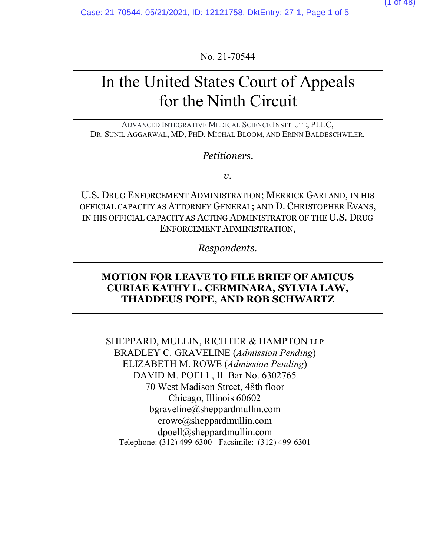No. 21-70544

# In the United States Court of Appeals for the Ninth Circuit

ADVANCED INTEGRATIVE MEDICAL SCIENCE INSTITUTE, PLLC, DR. SUNIL AGGARWAL, MD, PHD, MICHAL BLOOM, AND ERINN BALDESCHWILER,

*Petitioners,*

*v.*

U.S. DRUG ENFORCEMENT ADMINISTRATION; MERRICK GARLAND, IN HIS OFFICIAL CAPACITY AS ATTORNEY GENERAL; AND D. CHRISTOPHER EVANS, IN HIS OFFICIAL CAPACITY AS ACTING ADMINISTRATOR OF THE U.S. DRUG ENFORCEMENT ADMINISTRATION,

*Respondents.*

### **MOTION FOR LEAVE TO FILE BRIEF OF AMICUS CURIAE KATHY L. CERMINARA, SYLVIA LAW, THADDEUS POPE, AND ROB SCHWARTZ**

SHEPPARD, MULLIN, RICHTER & HAMPTON LLP BRADLEY C. GRAVELINE (*Admission Pending*) ELIZABETH M. ROWE (*Admission Pending*) DAVID M. POELL, IL Bar No. 6302765 70 West Madison Street, 48th floor Chicago, Illinois 60602 bgraveline@sheppardmullin.com erowe@sheppardmullin.com dpoell@sheppardmullin.com Telephone: (312) 499-6300 - Facsimile: (312) 499-6301

(1 of 48)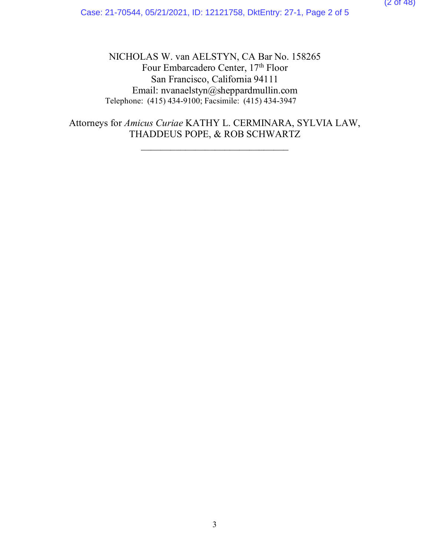NICHOLAS W. van AELSTYN, CA Bar No. 158265 Four Embarcadero Center, 17<sup>th</sup> Floor San Francisco, California 94111 Email: nvanaelstyn@sheppardmullin.com Telephone: (415) 434-9100; Facsimile: (415) 434-3947

Attorneys for *Amicus Curiae* KATHY L. CERMINARA, SYLVIA LAW, THADDEUS POPE, & ROB SCHWARTZ

\_\_\_\_\_\_\_\_\_\_\_\_\_\_\_\_\_\_\_\_\_\_\_\_\_\_\_\_\_\_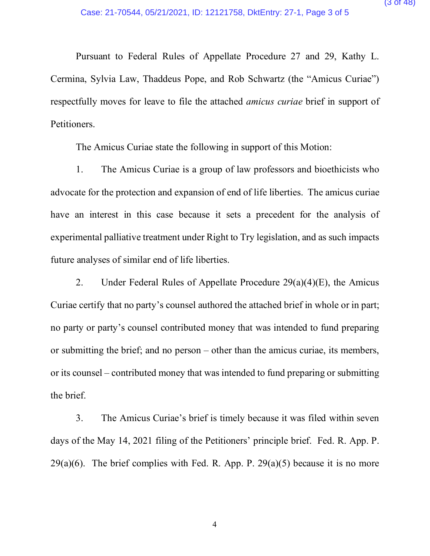Pursuant to Federal Rules of Appellate Procedure 27 and 29, Kathy L. Cermina, Sylvia Law, Thaddeus Pope, and Rob Schwartz (the "Amicus Curiae") respectfully moves for leave to file the attached *amicus curiae* brief in support of Petitioners.

The Amicus Curiae state the following in support of this Motion:

1. The Amicus Curiae is a group of law professors and bioethicists who advocate for the protection and expansion of end of life liberties. The amicus curiae have an interest in this case because it sets a precedent for the analysis of experimental palliative treatment under Right to Try legislation, and as such impacts future analyses of similar end of life liberties.

2. Under Federal Rules of Appellate Procedure  $29(a)(4)(E)$ , the Amicus Curiae certify that no party's counsel authored the attached brief in whole or in part; no party or party's counsel contributed money that was intended to fund preparing or submitting the brief; and no person – other than the amicus curiae, its members, or its counsel – contributed money that was intended to fund preparing or submitting the brief.

3. The Amicus Curiae's brief is timely because it was filed within seven days of the May 14, 2021 filing of the Petitioners' principle brief. Fed. R. App. P.  $29(a)(6)$ . The brief complies with Fed. R. App. P.  $29(a)(5)$  because it is no more

4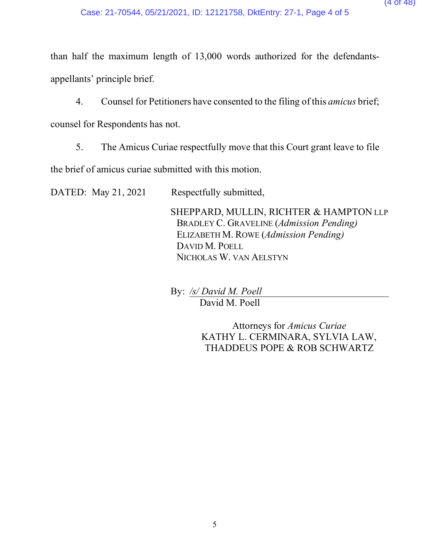than half the maximum length of 13,000 words authorized for the defendantsappellants' principle brief.

4. Counsel for Petitioners have consented to the filing of this *amicus* brief; counsel for Respondents has not.

5. The Amicus Curiae respectfully move that this Court grant leave to file

the brief of amicus curiae submitted with this motion.

DATED: May 21, 2021 Respectfully submitted,

SHEPPARD, MULLIN, RICHTER & HAMPTON LLP BRADLEY C. GRAVELINE (*Admission Pending)* ELIZABETH M. ROWE (*Admission Pending)* DAVID M. POELL NICHOLAS W. VAN AELSTYN

By: */s/ David M. Poell* David M. Poell

> Attorneys for *Amicus Curiae* KATHY L. CERMINARA, SYLVIA LAW, THADDEUS POPE & ROB SCHWARTZ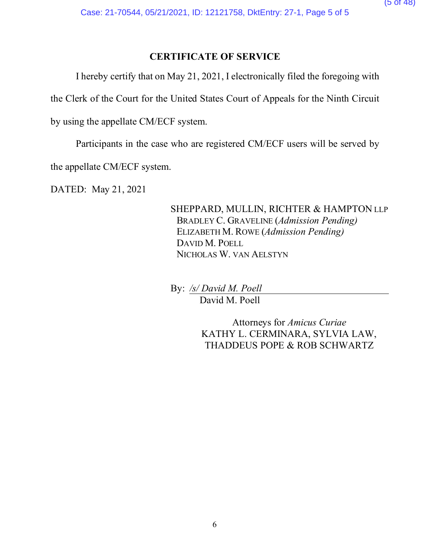#### **CERTIFICATE OF SERVICE**

I hereby certify that on May 21, 2021, I electronically filed the foregoing with

the Clerk of the Court for the United States Court of Appeals for the Ninth Circuit

by using the appellate CM/ECF system.

Participants in the case who are registered CM/ECF users will be served by

the appellate CM/ECF system.

DATED: May 21, 2021

SHEPPARD, MULLIN, RICHTER & HAMPTON LLP BRADLEY C. GRAVELINE (*Admission Pending)* ELIZABETH M. ROWE (*Admission Pending)* DAVID M. POELL NICHOLAS W. VAN AELSTYN

By: */s/ David M. Poell* David M. Poell

> Attorneys for *Amicus Curiae* KATHY L. CERMINARA, SYLVIA LAW, THADDEUS POPE & ROB SCHWARTZ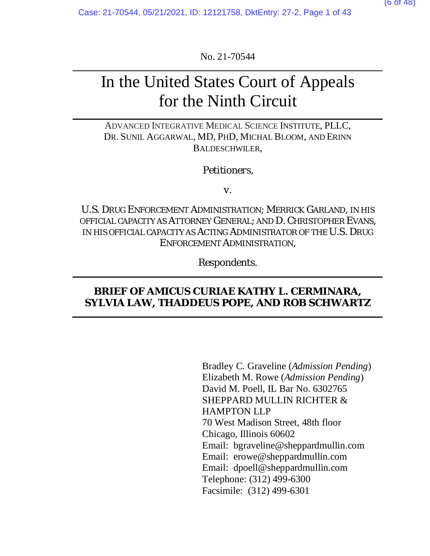No. 21-70544

# In the United States Court of Appeals for the Ninth Circuit

ADVANCED INTEGRATIVE MEDICAL SCIENCE INSTITUTE, PLLC, DR. SUNIL AGGARWAL, MD, PHD, MICHAL BLOOM, AND ERINN BALDESCHWILER,

#### *Petitioners,*

*v.* 

U.S. DRUG ENFORCEMENT ADMINISTRATION; MERRICK GARLAND, IN HIS OFFICIAL CAPACITY AS ATTORNEY GENERAL; AND D. CHRISTOPHER EVANS, IN HIS OFFICIAL CAPACITY AS ACTING ADMINISTRATOR OF THE U.S. DRUG ENFORCEMENT ADMINISTRATION,

*Respondents.*

#### **BRIEF OF AMICUS CURIAE KATHY L. CERMINARA, SYLVIA LAW, THADDEUS POPE, AND ROB SCHWARTZ**

Bradley C. Graveline (*Admission Pending*) Elizabeth M. Rowe (*Admission Pending*) David M. Poell, IL Bar No. 6302765 SHEPPARD MULLIN RICHTER & HAMPTON LLP 70 West Madison Street, 48th floor Chicago, Illinois 60602 Email: bgraveline@sheppardmullin.com Email: erowe@sheppardmullin.com Email: dpoell@sheppardmullin.com Telephone: (312) 499-6300 Facsimile: (312) 499-6301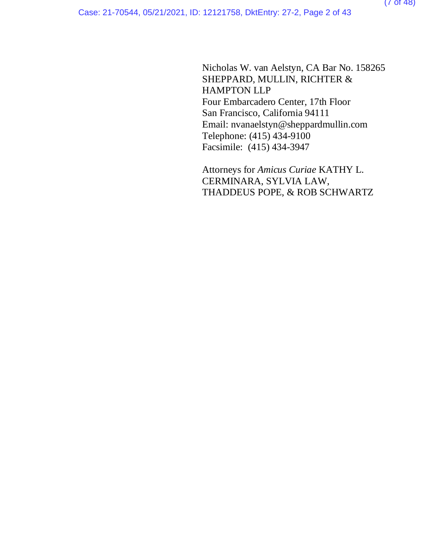Nicholas W. van Aelstyn, CA Bar No. 158265 SHEPPARD, MULLIN, RICHTER & HAMPTON LLP Four Embarcadero Center, 17th Floor San Francisco, California 94111 Email: nvanaelstyn@sheppardmullin.com Telephone: (415) 434-9100 Facsimile: (415) 434-3947

Attorneys for *Amicus Curiae* KATHY L. CERMINARA, SYLVIA LAW, THADDEUS POPE, & ROB SCHWARTZ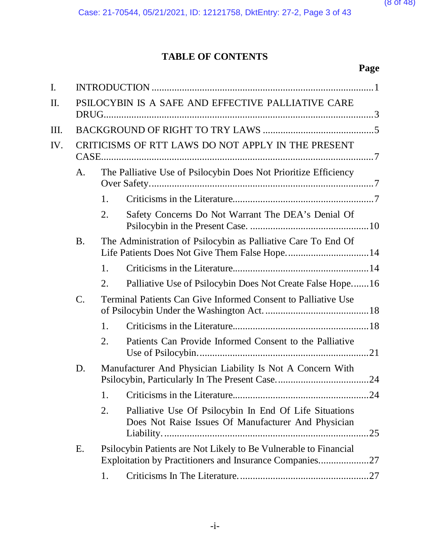## **TABLE OF CONTENTS**

| I.   |                 |                                                                 |                                                                                                                             |  |
|------|-----------------|-----------------------------------------------------------------|-----------------------------------------------------------------------------------------------------------------------------|--|
| Π.   |                 |                                                                 | PSILOCYBIN IS A SAFE AND EFFECTIVE PALLIATIVE CARE                                                                          |  |
|      |                 |                                                                 |                                                                                                                             |  |
| III. |                 |                                                                 |                                                                                                                             |  |
| IV.  |                 |                                                                 | CRITICISMS OF RTT LAWS DO NOT APPLY IN THE PRESENT                                                                          |  |
|      | A.              | The Palliative Use of Psilocybin Does Not Prioritize Efficiency |                                                                                                                             |  |
|      |                 | 1.                                                              |                                                                                                                             |  |
|      |                 | 2.                                                              | Safety Concerns Do Not Warrant The DEA's Denial Of                                                                          |  |
|      | <b>B.</b>       |                                                                 | The Administration of Psilocybin as Palliative Care To End Of                                                               |  |
|      |                 | 1.                                                              |                                                                                                                             |  |
|      |                 | 2.                                                              | Palliative Use of Psilocybin Does Not Create False Hope16                                                                   |  |
|      | $\mathcal{C}$ . | Terminal Patients Can Give Informed Consent to Palliative Use   |                                                                                                                             |  |
|      |                 | 1.                                                              |                                                                                                                             |  |
|      |                 | 2.                                                              | Patients Can Provide Informed Consent to the Palliative                                                                     |  |
|      | D.              | Manufacturer And Physician Liability Is Not A Concern With      |                                                                                                                             |  |
|      |                 | 1.                                                              | 24                                                                                                                          |  |
|      |                 | 2.                                                              | Palliative Use Of Psilocybin In End Of Life Situations<br>Does Not Raise Issues Of Manufacturer And Physician<br>.25        |  |
|      | Ε.              |                                                                 | Psilocybin Patients are Not Likely to Be Vulnerable to Financial<br>Exploitation by Practitioners and Insurance Companies27 |  |
|      |                 | 1.                                                              |                                                                                                                             |  |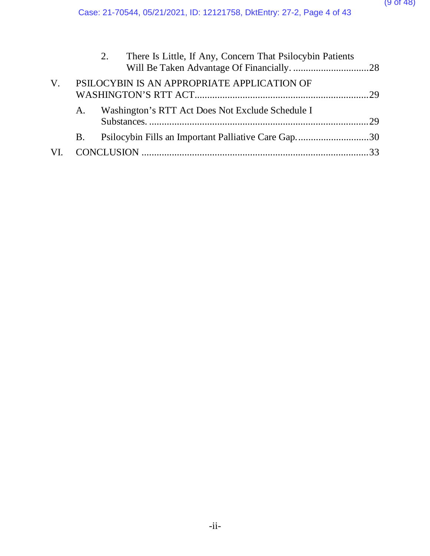|             |           | There Is Little, If Any, Concern That Psilocybin Patients<br>2. |  |
|-------------|-----------|-----------------------------------------------------------------|--|
| $V_{\cdot}$ |           | PSILOCYBIN IS AN APPROPRIATE APPLICATION OF                     |  |
|             | A.        | Washington's RTT Act Does Not Exclude Schedule I                |  |
|             | <b>B.</b> | Psilocybin Fills an Important Palliative Care Gap30             |  |
| VI.         |           |                                                                 |  |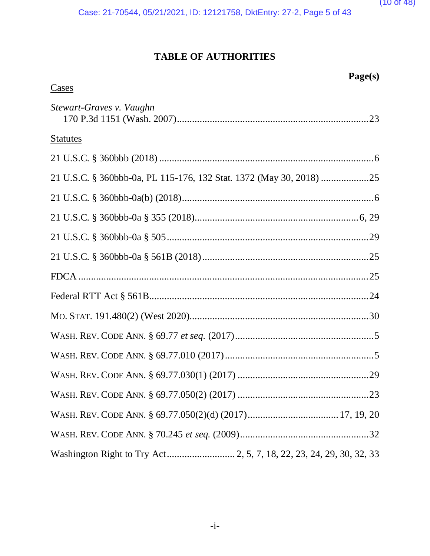

**Page(s)**

Case: 21-70544, 05/21/2021, ID: 12121758, DktEntry: 27-2, Page 5 of 43

## **TABLE OF AUTHORITIES**

| <b>Cases</b>             |
|--------------------------|
| Stewart-Graves v. Vaughn |
| <b>Statutes</b>          |
|                          |
|                          |
|                          |
|                          |
|                          |
|                          |
|                          |
|                          |
|                          |
|                          |
|                          |
|                          |
|                          |
|                          |
|                          |
|                          |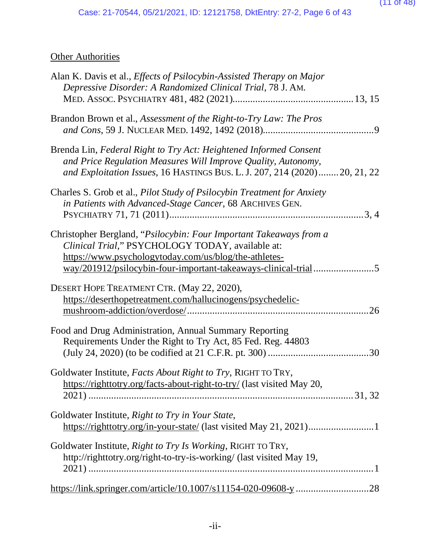## **Other Authorities**

| Alan K. Davis et al., <i>Effects of Psilocybin-Assisted Therapy on Major</i><br>Depressive Disorder: A Randomized Clinical Trial, 78 J. AM.                                                                                                       |     |
|---------------------------------------------------------------------------------------------------------------------------------------------------------------------------------------------------------------------------------------------------|-----|
| Brandon Brown et al., Assessment of the Right-to-Try Law: The Pros                                                                                                                                                                                |     |
| Brenda Lin, Federal Right to Try Act: Heightened Informed Consent<br>and Price Regulation Measures Will Improve Quality, Autonomy,<br>and Exploitation Issues, 16 HASTINGS BUS. L. J. 207, 214 (2020)20, 21, 22                                   |     |
| Charles S. Grob et al., Pilot Study of Psilocybin Treatment for Anxiety<br>in Patients with Advanced-Stage Cancer, 68 ARCHIVES GEN.                                                                                                               |     |
| Christopher Bergland, "Psilocybin: Four Important Takeaways from a<br>Clinical Trial," PSYCHOLOGY TODAY, available at:<br>https://www.psychologytoday.com/us/blog/the-athletes-<br>way/201912/psilocybin-four-important-takeaways-clinical-trial5 |     |
| DESERT HOPE TREATMENT CTR. (May 22, 2020),<br>https://deserthopetreatment.com/hallucinogens/psychedelic-                                                                                                                                          | 26  |
| Food and Drug Administration, Annual Summary Reporting<br>Requirements Under the Right to Try Act, 85 Fed. Reg. 44803                                                                                                                             | .30 |
| Goldwater Institute, Facts About Right to Try, RIGHT TO TRY,<br>https://righttotry.org/facts-about-right-to-try/ (last visited May 20,                                                                                                            |     |
| Goldwater Institute, Right to Try in Your State,                                                                                                                                                                                                  |     |
| Goldwater Institute, Right to Try Is Working, RIGHT TO TRY,<br>http://righttotry.org/right-to-try-is-working/ (last visited May 19,                                                                                                               |     |
| https://link.springer.com/article/10.1007/s11154-020-09608-y 28                                                                                                                                                                                   |     |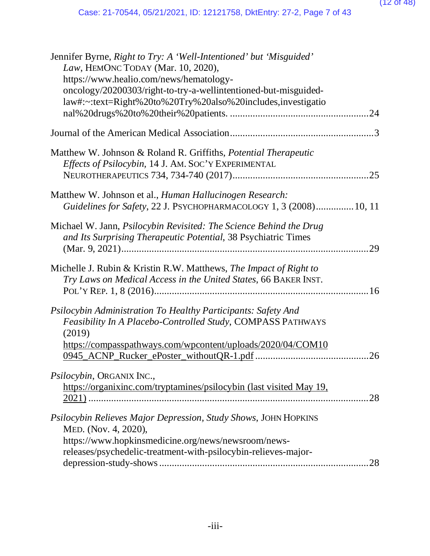#### (12 of 48)

| Jennifer Byrne, Right to Try: A 'Well-Intentioned' but 'Misguided'<br>Law, HEMONC TODAY (Mar. 10, 2020), |
|----------------------------------------------------------------------------------------------------------|
| https://www.healio.com/news/hematology-                                                                  |
| oncology/20200303/right-to-try-a-wellintentioned-but-misguided-                                          |
| law#:~:text=Right%20to%20Try%20also%20includes,investigatio                                              |
|                                                                                                          |
|                                                                                                          |
| Matthew W. Johnson & Roland R. Griffiths, <i>Potential Therapeutic</i>                                   |
| Effects of Psilocybin, 14 J. AM. SOC'Y EXPERIMENTAL                                                      |
|                                                                                                          |
|                                                                                                          |
| Matthew W. Johnson et al., Human Hallucinogen Research:                                                  |
| Guidelines for Safety, 22 J. PSYCHOPHARMACOLOGY 1, 3 (2008) 10, 11                                       |
|                                                                                                          |
| Michael W. Jann, <i>Psilocybin Revisited: The Science Behind the Drug</i>                                |
| and Its Surprising Therapeutic Potential, 38 Psychiatric Times                                           |
| 29                                                                                                       |
| Michelle J. Rubin & Kristin R.W. Matthews, The Impact of Right to                                        |
| Try Laws on Medical Access in the United States, 66 BAKER INST.                                          |
|                                                                                                          |
|                                                                                                          |
| Psilocybin Administration To Healthy Participants: Safety And                                            |
| <b>Feasibility In A Placebo-Controlled Study, COMPASS PATHWAYS</b>                                       |
| (2019)                                                                                                   |
| https://compasspathways.com/wpcontent/uploads/2020/04/COM10                                              |
| 26                                                                                                       |
|                                                                                                          |
| Psilocybin, ORGANIX INC.,                                                                                |
| https://organixinc.com/tryptamines/psilocybin (last visited May 19,                                      |
| 28                                                                                                       |
|                                                                                                          |
| Psilocybin Relieves Major Depression, Study Shows, JOHN HOPKINS                                          |
| MED. (Nov. 4, 2020),                                                                                     |
| https://www.hopkinsmedicine.org/news/newsroom/news-                                                      |
| releases/psychedelic-treatment-with-psilocybin-relieves-major-                                           |
| 28                                                                                                       |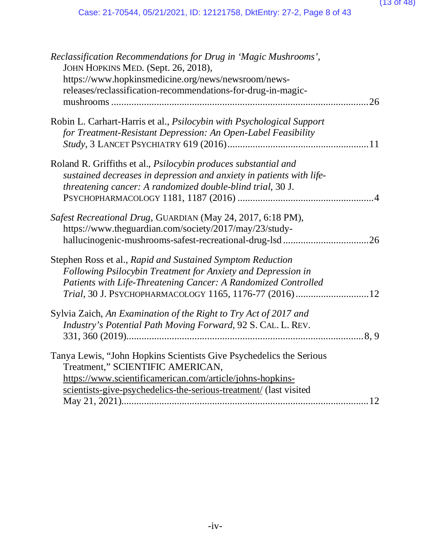#### (13 of 48)

| Reclassification Recommendations for Drug in 'Magic Mushrooms',<br>JOHN HOPKINS MED. (Sept. 26, 2018), |
|--------------------------------------------------------------------------------------------------------|
| https://www.hopkinsmedicine.org/news/newsroom/news-                                                    |
| releases/reclassification-recommendations-for-drug-in-magic-                                           |
| 26                                                                                                     |
|                                                                                                        |
| Robin L. Carhart-Harris et al., Psilocybin with Psychological Support                                  |
| for Treatment-Resistant Depression: An Open-Label Feasibility                                          |
|                                                                                                        |
| Roland R. Griffiths et al., Psilocybin produces substantial and                                        |
| sustained decreases in depression and anxiety in patients with life-                                   |
| threatening cancer: A randomized double-blind trial, 30 J.                                             |
|                                                                                                        |
|                                                                                                        |
| Safest Recreational Drug, GUARDIAN (May 24, 2017, 6:18 PM),                                            |
| https://www.theguardian.com/society/2017/may/23/study-                                                 |
|                                                                                                        |
|                                                                                                        |
| Stephen Ross et al., Rapid and Sustained Symptom Reduction                                             |
| Following Psilocybin Treatment for Anxiety and Depression in                                           |
| Patients with Life-Threatening Cancer: A Randomized Controlled                                         |
| Trial, 30 J. PSYCHOPHARMACOLOGY 1165, 1176-77 (2016)12                                                 |
|                                                                                                        |
| Sylvia Zaich, An Examination of the Right to Try Act of 2017 and                                       |
| Industry's Potential Path Moving Forward, 92 S. CAL. L. REV.                                           |
|                                                                                                        |
| Tanya Lewis, "John Hopkins Scientists Give Psychedelics the Serious                                    |
| Treatment," SCIENTIFIC AMERICAN,                                                                       |
| https://www.scientificamerican.com/article/johns-hopkins-                                              |
| scientists-give-psychedelics-the-serious-treatment/ (last visited                                      |
|                                                                                                        |
|                                                                                                        |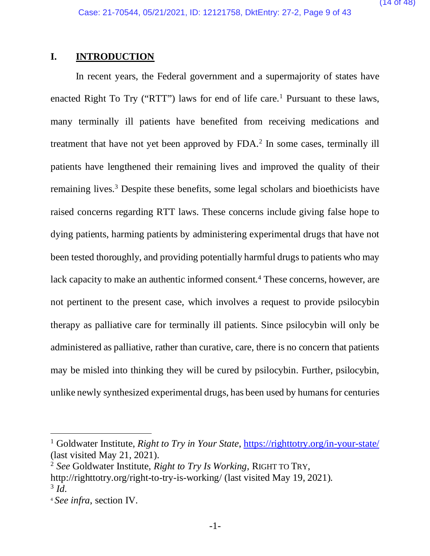#### **I. INTRODUCTION**

In recent years, the Federal government and a supermajority of states have enacted Right To Try ("RTT") laws for end of life care.<sup>1</sup> Pursuant to these laws, many terminally ill patients have benefited from receiving medications and treatment that have not yet been approved by FDA.<sup>2</sup> In some cases, terminally ill patients have lengthened their remaining lives and improved the quality of their remaining lives.<sup>3</sup> Despite these benefits, some legal scholars and bioethicists have raised concerns regarding RTT laws. These concerns include giving false hope to dying patients, harming patients by administering experimental drugs that have not been tested thoroughly, and providing potentially harmful drugs to patients who may lack capacity to make an authentic informed consent.<sup>4</sup> These concerns, however, are not pertinent to the present case, which involves a request to provide psilocybin therapy as palliative care for terminally ill patients. Since psilocybin will only be administered as palliative, rather than curative, care, there is no concern that patients may be misled into thinking they will be cured by psilocybin. Further, psilocybin, unlike newly synthesized experimental drugs, has been used by humans for centuries

<sup>&</sup>lt;sup>1</sup> Goldwater Institute, *Right to Try in Your State*, https://righttotry.org/in-your-state/ (last visited May 21, 2021).

<sup>2</sup> *See* Goldwater Institute, *Right to Try Is Working*, RIGHT TO TRY,

http://righttotry.org/right-to-try-is-working/ (last visited May 19, 2021).  $3$  *Id.* 

<sup>4</sup> *See infra*, section IV.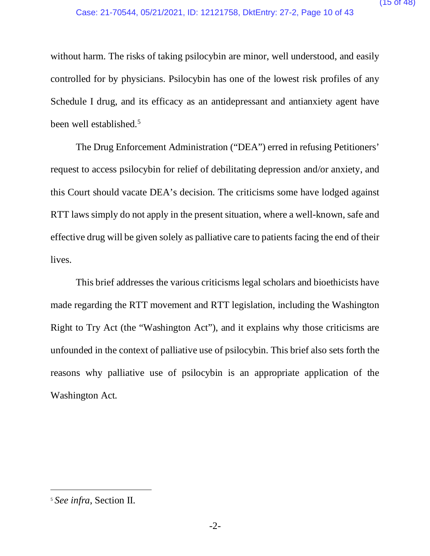without harm. The risks of taking psilocybin are minor, well understood, and easily controlled for by physicians. Psilocybin has one of the lowest risk profiles of any Schedule I drug, and its efficacy as an antidepressant and antianxiety agent have been well established.<sup>5</sup>

 The Drug Enforcement Administration ("DEA") erred in refusing Petitioners' request to access psilocybin for relief of debilitating depression and/or anxiety, and this Court should vacate DEA's decision. The criticisms some have lodged against RTT laws simply do not apply in the present situation, where a well-known, safe and effective drug will be given solely as palliative care to patients facing the end of their lives.

This brief addresses the various criticisms legal scholars and bioethicists have made regarding the RTT movement and RTT legislation, including the Washington Right to Try Act (the "Washington Act"), and it explains why those criticisms are unfounded in the context of palliative use of psilocybin. This brief also sets forth the reasons why palliative use of psilocybin is an appropriate application of the Washington Act.

<sup>5</sup> *See infra*, Section II.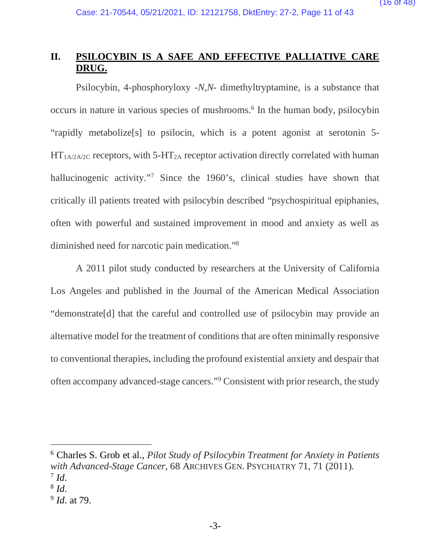#### **II. PSILOCYBIN IS A SAFE AND EFFECTIVE PALLIATIVE CARE DRUG.**

Psilocybin, 4-phosphoryloxy -*N,N*- dimethyltryptamine, is a substance that occurs in nature in various species of mushrooms.6 In the human body, psilocybin "rapidly metabolize[s] to psilocin, which is a potent agonist at serotonin 5-  $HT_{1A/2A/2C}$  receptors, with 5-HT<sub>2A</sub> receptor activation directly correlated with human hallucinogenic activity."<sup>7</sup> Since the 1960's, clinical studies have shown that critically ill patients treated with psilocybin described "psychospiritual epiphanies, often with powerful and sustained improvement in mood and anxiety as well as diminished need for narcotic pain medication."8

A 2011 pilot study conducted by researchers at the University of California Los Angeles and published in the Journal of the American Medical Association "demonstrate[d] that the careful and controlled use of psilocybin may provide an alternative model for the treatment of conditions that are often minimally responsive to conventional therapies, including the profound existential anxiety and despair that often accompany advanced-stage cancers."9 Consistent with prior research, the study

<sup>6</sup> Charles S. Grob et al., *Pilot Study of Psilocybin Treatment for Anxiety in Patients with Advanced-Stage Cancer*, 68 ARCHIVES GEN. PSYCHIATRY 71, 71 (2011).  $^7$  *Id.* 

<sup>8</sup> *Id.*

<sup>9</sup> *Id.* at 79.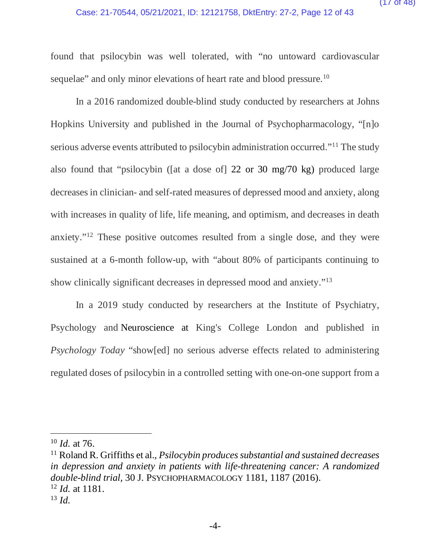#### Case: 21-70544, 05/21/2021, ID: 12121758, DktEntry: 27-2, Page 12 of 43

found that psilocybin was well tolerated, with "no untoward cardiovascular sequelae" and only minor elevations of heart rate and blood pressure.<sup>10</sup>

In a 2016 randomized double-blind study conducted by researchers at Johns Hopkins University and published in the Journal of Psychopharmacology, "[n]o serious adverse events attributed to psilocybin administration occurred."11 The study also found that "psilocybin ([at a dose of] 22 or 30 mg/70 kg) produced large decreases in clinician- and self-rated measures of depressed mood and anxiety, along with increases in quality of life, life meaning, and optimism, and decreases in death anxiety."12 These positive outcomes resulted from a single dose, and they were sustained at a 6-month follow-up, with "about 80% of participants continuing to show clinically significant decreases in depressed mood and anxiety."13

In a 2019 study conducted by researchers at the Institute of Psychiatry, Psychology and Neuroscience at King's College London and published in *Psychology Today* "show[ed] no serious adverse effects related to administering regulated doses of psilocybin in a controlled setting with one-on-one support from a

<sup>11</sup> Roland R. Griffiths et al., *Psilocybin produces substantial and sustained decreases in depression and anxiety in patients with life-threatening cancer: A randomized double-blind trial,* 30 J. PSYCHOPHARMACOLOGY 1181, 1187 (2016). <sup>12</sup> *Id.* at 1181.

<sup>10</sup> *Id.* at 76.

 $13 \, Id.$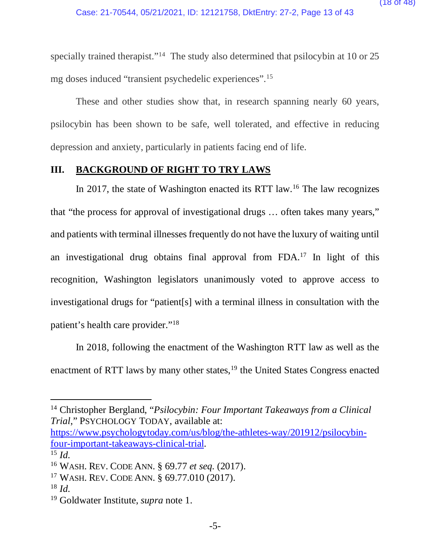specially trained therapist."<sup>14</sup> The study also determined that psilocybin at 10 or 25 mg doses induced "transient psychedelic experiences".15

These and other studies show that, in research spanning nearly 60 years, psilocybin has been shown to be safe, well tolerated, and effective in reducing depression and anxiety, particularly in patients facing end of life.

#### **III. BACKGROUND OF RIGHT TO TRY LAWS**

In 2017, the state of Washington enacted its RTT law.<sup>16</sup> The law recognizes that "the process for approval of investigational drugs … often takes many years," and patients with terminal illnesses frequently do not have the luxury of waiting until an investigational drug obtains final approval from FDA.17 In light of this recognition, Washington legislators unanimously voted to approve access to investigational drugs for "patient[s] with a terminal illness in consultation with the patient's health care provider."18

In 2018, following the enactment of the Washington RTT law as well as the enactment of RTT laws by many other states,<sup>19</sup> the United States Congress enacted

https://www.psychologytoday.com/us/blog/the-athletes-way/201912/psilocybinfour-important-takeaways-clinical-trial. 15 *Id.* 

<sup>14</sup> Christopher Bergland, "*Psilocybin: Four Important Takeaways from a Clinical Trial*," PSYCHOLOGY TODAY, available at:

<sup>16</sup> WASH. REV. CODE ANN. § 69.77 *et seq.* (2017).

<sup>17</sup> WASH. REV. CODE ANN. § 69.77.010 (2017).

<sup>18</sup> *Id.*

<sup>19</sup> Goldwater Institute, *supra* note 1.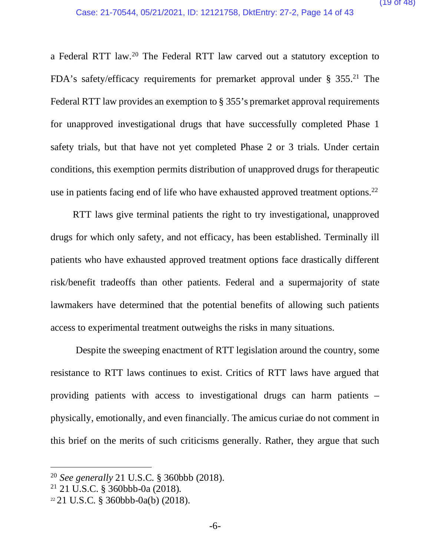a Federal RTT law.20 The Federal RTT law carved out a statutory exception to FDA's safety/efficacy requirements for premarket approval under § 355.<sup>21</sup> The Federal RTT law provides an exemption to § 355's premarket approval requirements for unapproved investigational drugs that have successfully completed Phase 1 safety trials, but that have not yet completed Phase 2 or 3 trials. Under certain conditions, this exemption permits distribution of unapproved drugs for therapeutic use in patients facing end of life who have exhausted approved treatment options.<sup>22</sup>

RTT laws give terminal patients the right to try investigational, unapproved drugs for which only safety, and not efficacy, has been established. Terminally ill patients who have exhausted approved treatment options face drastically different risk/benefit tradeoffs than other patients. Federal and a supermajority of state lawmakers have determined that the potential benefits of allowing such patients access to experimental treatment outweighs the risks in many situations.

 Despite the sweeping enactment of RTT legislation around the country, some resistance to RTT laws continues to exist. Critics of RTT laws have argued that providing patients with access to investigational drugs can harm patients – physically, emotionally, and even financially. The amicus curiae do not comment in this brief on the merits of such criticisms generally. Rather, they argue that such

<sup>20</sup> *See generally* 21 U.S.C. § 360bbb (2018).

<sup>21</sup> 21 U.S.C. § 360bbb-0a (2018).

<sup>22</sup> 21 U.S.C. § 360bbb-0a(b) (2018).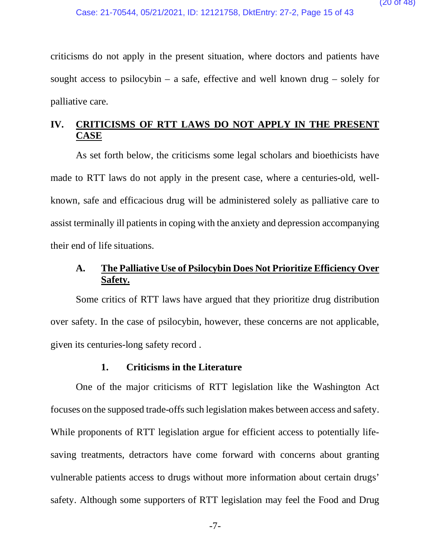criticisms do not apply in the present situation, where doctors and patients have sought access to psilocybin – a safe, effective and well known drug – solely for palliative care.

### **IV. CRITICISMS OF RTT LAWS DO NOT APPLY IN THE PRESENT CASE**

As set forth below, the criticisms some legal scholars and bioethicists have made to RTT laws do not apply in the present case, where a centuries-old, wellknown, safe and efficacious drug will be administered solely as palliative care to assist terminally ill patients in coping with the anxiety and depression accompanying their end of life situations.

### **A. The Palliative Use of Psilocybin Does Not Prioritize Efficiency Over Safety.**

Some critics of RTT laws have argued that they prioritize drug distribution over safety. In the case of psilocybin, however, these concerns are not applicable, given its centuries-long safety record .

#### **1. Criticisms in the Literature**

One of the major criticisms of RTT legislation like the Washington Act focuses on the supposed trade-offs such legislation makes between access and safety. While proponents of RTT legislation argue for efficient access to potentially lifesaving treatments, detractors have come forward with concerns about granting vulnerable patients access to drugs without more information about certain drugs' safety. Although some supporters of RTT legislation may feel the Food and Drug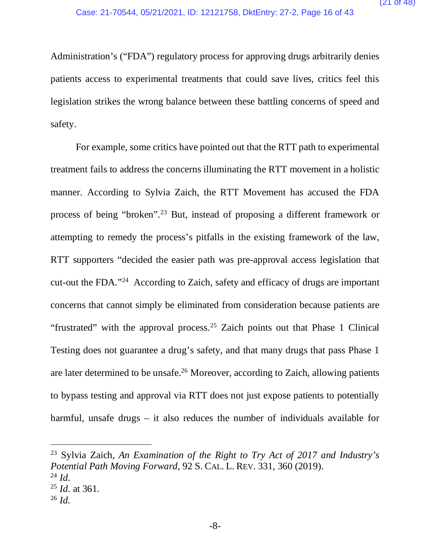Administration's ("FDA") regulatory process for approving drugs arbitrarily denies patients access to experimental treatments that could save lives, critics feel this legislation strikes the wrong balance between these battling concerns of speed and safety.

For example, some critics have pointed out that the RTT path to experimental treatment fails to address the concerns illuminating the RTT movement in a holistic manner. According to Sylvia Zaich, the RTT Movement has accused the FDA process of being "broken".23 But, instead of proposing a different framework or attempting to remedy the process's pitfalls in the existing framework of the law, RTT supporters "decided the easier path was pre-approval access legislation that cut-out the FDA."24 According to Zaich, safety and efficacy of drugs are important concerns that cannot simply be eliminated from consideration because patients are "frustrated" with the approval process.<sup>25</sup> Zaich points out that Phase 1 Clinical Testing does not guarantee a drug's safety, and that many drugs that pass Phase 1 are later determined to be unsafe.26 Moreover, according to Zaich, allowing patients to bypass testing and approval via RTT does not just expose patients to potentially harmful, unsafe drugs – it also reduces the number of individuals available for

<sup>23</sup> Sylvia Zaich, *An Examination of the Right to Try Act of 2017 and Industry's Potential Path Moving Forward*, 92 S. CAL. L. REV. 331, 360 (2019).  $^{24}$  *Id.* 

<sup>25</sup> *Id.* at 361.

 $^{26}$  *Id.*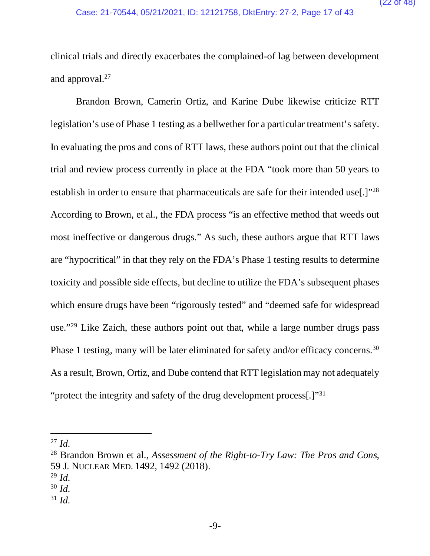clinical trials and directly exacerbates the complained-of lag between development and approval.27

Brandon Brown, Camerin Ortiz, and Karine Dube likewise criticize RTT legislation's use of Phase 1 testing as a bellwether for a particular treatment's safety. In evaluating the pros and cons of RTT laws, these authors point out that the clinical trial and review process currently in place at the FDA "took more than 50 years to establish in order to ensure that pharmaceuticals are safe for their intended use[.]"28 According to Brown, et al., the FDA process "is an effective method that weeds out most ineffective or dangerous drugs." As such, these authors argue that RTT laws are "hypocritical" in that they rely on the FDA's Phase 1 testing results to determine toxicity and possible side effects, but decline to utilize the FDA's subsequent phases which ensure drugs have been "rigorously tested" and "deemed safe for widespread use."<sup>29</sup> Like Zaich, these authors point out that, while a large number drugs pass Phase 1 testing, many will be later eliminated for safety and/or efficacy concerns.30 As a result, Brown, Ortiz, and Dube contend that RTT legislation may not adequately "protect the integrity and safety of the drug development process[.]"31

 $31$  *Id.* 

 $^{27}$  *Id.* 

<sup>28</sup> Brandon Brown et al., *Assessment of the Right-to-Try Law: The Pros and Cons*, 59 J. NUCLEAR MED. 1492, 1492 (2018).

 $^{29}$  *Id.* 

<sup>30</sup> *Id.*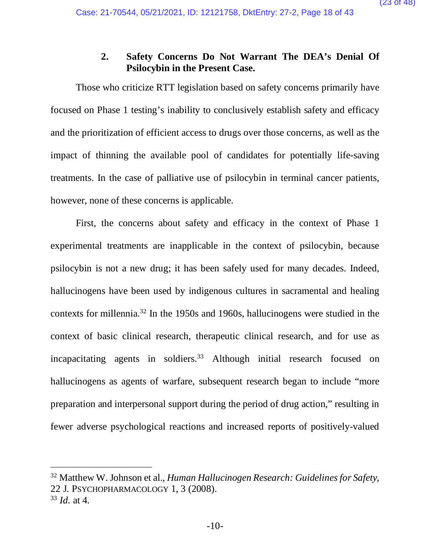#### **2. Safety Concerns Do Not Warrant The DEA's Denial Of Psilocybin in the Present Case.**

Those who criticize RTT legislation based on safety concerns primarily have focused on Phase 1 testing's inability to conclusively establish safety and efficacy and the prioritization of efficient access to drugs over those concerns, as well as the impact of thinning the available pool of candidates for potentially life-saving treatments. In the case of palliative use of psilocybin in terminal cancer patients, however, none of these concerns is applicable.

First, the concerns about safety and efficacy in the context of Phase 1 experimental treatments are inapplicable in the context of psilocybin, because psilocybin is not a new drug; it has been safely used for many decades. Indeed, hallucinogens have been used by indigenous cultures in sacramental and healing contexts for millennia.32 In the 1950s and 1960s, hallucinogens were studied in the context of basic clinical research, therapeutic clinical research, and for use as incapacitating agents in soldiers.<sup>33</sup> Although initial research focused on hallucinogens as agents of warfare, subsequent research began to include "more preparation and interpersonal support during the period of drug action," resulting in fewer adverse psychological reactions and increased reports of positively-valued

<sup>32</sup> Matthew W. Johnson et al., *Human Hallucinogen Research: Guidelines for Safety*, 22 J. PSYCHOPHARMACOLOGY 1, 3 (2008).

<sup>33</sup> *Id.* at 4.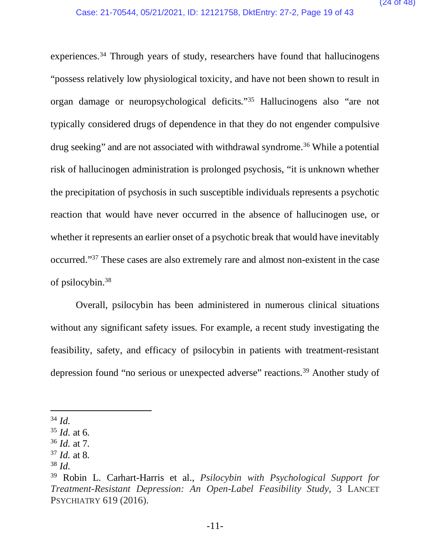experiences.<sup>34</sup> Through years of study, researchers have found that hallucinogens "possess relatively low physiological toxicity, and have not been shown to result in organ damage or neuropsychological deficits."35 Hallucinogens also "are not typically considered drugs of dependence in that they do not engender compulsive drug seeking" and are not associated with withdrawal syndrome.36 While a potential risk of hallucinogen administration is prolonged psychosis, "it is unknown whether the precipitation of psychosis in such susceptible individuals represents a psychotic reaction that would have never occurred in the absence of hallucinogen use, or whether it represents an earlier onset of a psychotic break that would have inevitably occurred."37 These cases are also extremely rare and almost non-existent in the case of psilocybin. 38

Overall, psilocybin has been administered in numerous clinical situations without any significant safety issues. For example, a recent study investigating the feasibility, safety, and efficacy of psilocybin in patients with treatment-resistant depression found "no serious or unexpected adverse" reactions.39 Another study of

 $34$  *Id.* 

<sup>35</sup> *Id.* at 6.

<sup>36</sup> *Id.* at 7.

<sup>37</sup> *Id.* at 8.

<sup>38</sup> *Id.* 

<sup>39</sup> Robin L. Carhart-Harris et al., *Psilocybin with Psychological Support for Treatment-Resistant Depression: An Open-Label Feasibility Study*, 3 LANCET PSYCHIATRY 619 (2016).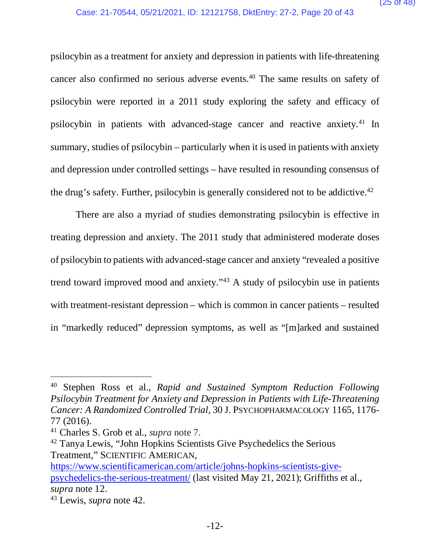psilocybin as a treatment for anxiety and depression in patients with life-threatening cancer also confirmed no serious adverse events.40 The same results on safety of psilocybin were reported in a 2011 study exploring the safety and efficacy of psilocybin in patients with advanced-stage cancer and reactive anxiety.41 In summary, studies of psilocybin – particularly when it is used in patients with anxiety and depression under controlled settings – have resulted in resounding consensus of the drug's safety. Further, psilocybin is generally considered not to be addictive.<sup>42</sup>

There are also a myriad of studies demonstrating psilocybin is effective in treating depression and anxiety. The 2011 study that administered moderate doses of psilocybin to patients with advanced-stage cancer and anxiety "revealed a positive trend toward improved mood and anxiety."43 A study of psilocybin use in patients with treatment-resistant depression – which is common in cancer patients – resulted in "markedly reduced" depression symptoms, as well as "[m]arked and sustained

<sup>40</sup> Stephen Ross et al., *Rapid and Sustained Symptom Reduction Following Psilocybin Treatment for Anxiety and Depression in Patients with Life-Threatening Cancer: A Randomized Controlled Trial*, 30 J. PSYCHOPHARMACOLOGY 1165, 1176- 77 (2016).

<sup>41</sup> Charles S. Grob et al., *supra* note 7.

<sup>42</sup> Tanya Lewis, "John Hopkins Scientists Give Psychedelics the Serious Treatment," SCIENTIFIC AMERICAN,

https://www.scientificamerican.com/article/johns-hopkins-scientists-givepsychedelics-the-serious-treatment/ (last visited May 21, 2021); Griffiths et al., *supra* note 12.

<sup>43</sup> Lewis, *supra* note 42.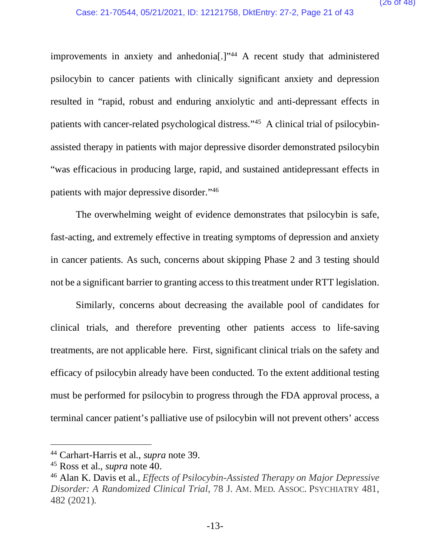improvements in anxiety and anhedonia<sup>[1]</sup><sup>144</sup> A recent study that administered psilocybin to cancer patients with clinically significant anxiety and depression resulted in "rapid, robust and enduring anxiolytic and anti-depressant effects in patients with cancer-related psychological distress."45 A clinical trial of psilocybinassisted therapy in patients with major depressive disorder demonstrated psilocybin "was efficacious in producing large, rapid, and sustained antidepressant effects in patients with major depressive disorder."46

The overwhelming weight of evidence demonstrates that psilocybin is safe, fast-acting, and extremely effective in treating symptoms of depression and anxiety in cancer patients. As such, concerns about skipping Phase 2 and 3 testing should not be a significant barrier to granting access to this treatment under RTT legislation.

Similarly, concerns about decreasing the available pool of candidates for clinical trials, and therefore preventing other patients access to life-saving treatments, are not applicable here. First, significant clinical trials on the safety and efficacy of psilocybin already have been conducted. To the extent additional testing must be performed for psilocybin to progress through the FDA approval process, a terminal cancer patient's palliative use of psilocybin will not prevent others' access

<sup>44</sup> Carhart-Harris et al*.*, *supra* note 39.

<sup>45</sup> Ross et al*.*, *supra* note 40.

<sup>46</sup> Alan K. Davis et al., *Effects of Psilocybin-Assisted Therapy on Major Depressive Disorder: A Randomized Clinical Trial*, 78 J. AM. MED. ASSOC. PSYCHIATRY 481, 482 (2021).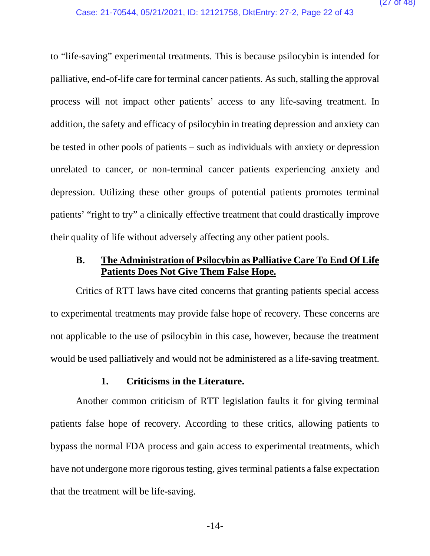to "life-saving" experimental treatments. This is because psilocybin is intended for palliative, end-of-life care for terminal cancer patients. As such, stalling the approval process will not impact other patients' access to any life-saving treatment. In addition, the safety and efficacy of psilocybin in treating depression and anxiety can be tested in other pools of patients – such as individuals with anxiety or depression unrelated to cancer, or non-terminal cancer patients experiencing anxiety and depression. Utilizing these other groups of potential patients promotes terminal patients' "right to try" a clinically effective treatment that could drastically improve their quality of life without adversely affecting any other patient pools.

### **B. The Administration of Psilocybin as Palliative Care To End Of Life Patients Does Not Give Them False Hope.**

Critics of RTT laws have cited concerns that granting patients special access to experimental treatments may provide false hope of recovery. These concerns are not applicable to the use of psilocybin in this case, however, because the treatment would be used palliatively and would not be administered as a life-saving treatment.

#### **1. Criticisms in the Literature.**

Another common criticism of RTT legislation faults it for giving terminal patients false hope of recovery. According to these critics, allowing patients to bypass the normal FDA process and gain access to experimental treatments, which have not undergone more rigorous testing, gives terminal patients a false expectation that the treatment will be life-saving.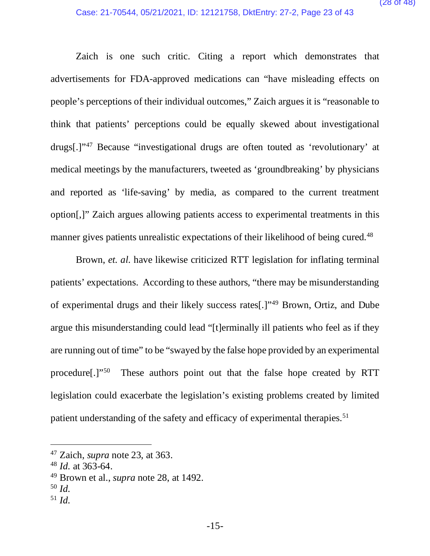Zaich is one such critic. Citing a report which demonstrates that advertisements for FDA-approved medications can "have misleading effects on people's perceptions of their individual outcomes," Zaich argues it is "reasonable to think that patients' perceptions could be equally skewed about investigational drugs[.]"47 Because "investigational drugs are often touted as 'revolutionary' at medical meetings by the manufacturers, tweeted as 'groundbreaking' by physicians and reported as 'life-saving' by media, as compared to the current treatment option[,]" Zaich argues allowing patients access to experimental treatments in this manner gives patients unrealistic expectations of their likelihood of being cured.<sup>48</sup>

 Brown, *et. al.* have likewise criticized RTT legislation for inflating terminal patients' expectations. According to these authors, "there may be misunderstanding of experimental drugs and their likely success rates[.]"49 Brown, Ortiz, and Dube argue this misunderstanding could lead "[t]erminally ill patients who feel as if they are running out of time" to be "swayed by the false hope provided by an experimental procedure[.]"50 These authors point out that the false hope created by RTT legislation could exacerbate the legislation's existing problems created by limited patient understanding of the safety and efficacy of experimental therapies.<sup>51</sup>

 $51$  *Id.* 

<sup>47</sup> Zaich, *supra* note 23, at 363.

<sup>48</sup> *Id.* at 363-64.

<sup>49</sup> Brown et al., *supra* note 28, at 1492.

<sup>50</sup> *Id.*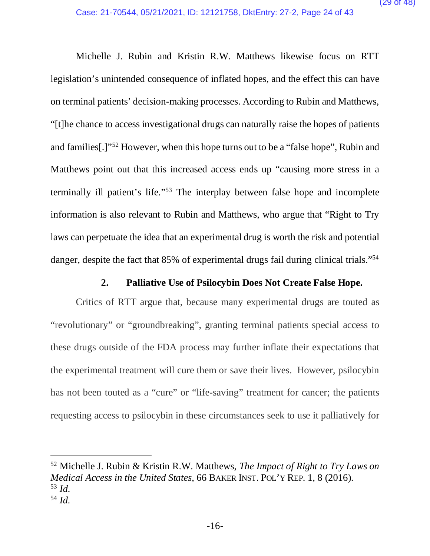Michelle J. Rubin and Kristin R.W. Matthews likewise focus on RTT legislation's unintended consequence of inflated hopes, and the effect this can have on terminal patients' decision-making processes. According to Rubin and Matthews, "[t]he chance to access investigational drugs can naturally raise the hopes of patients and families[.]"52 However, when this hope turns out to be a "false hope", Rubin and Matthews point out that this increased access ends up "causing more stress in a terminally ill patient's life."53 The interplay between false hope and incomplete information is also relevant to Rubin and Matthews, who argue that "Right to Try laws can perpetuate the idea that an experimental drug is worth the risk and potential danger, despite the fact that 85% of experimental drugs fail during clinical trials."<sup>54</sup>

#### **2. Palliative Use of Psilocybin Does Not Create False Hope.**

Critics of RTT argue that, because many experimental drugs are touted as "revolutionary" or "groundbreaking", granting terminal patients special access to these drugs outside of the FDA process may further inflate their expectations that the experimental treatment will cure them or save their lives. However, psilocybin has not been touted as a "cure" or "life-saving" treatment for cancer; the patients requesting access to psilocybin in these circumstances seek to use it palliatively for

52 Michelle J. Rubin & Kristin R.W. Matthews, *The Impact of Right to Try Laws on Medical Access in the United States*, 66 BAKER INST. POL'Y REP. 1, 8 (2016). <sup>53</sup> *Id.*  <sup>54</sup> *Id.*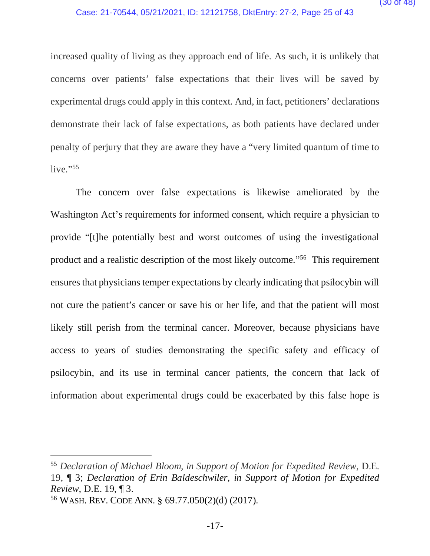increased quality of living as they approach end of life. As such, it is unlikely that concerns over patients' false expectations that their lives will be saved by experimental drugs could apply in this context. And, in fact, petitioners' declarations demonstrate their lack of false expectations, as both patients have declared under penalty of perjury that they are aware they have a "very limited quantum of time to live." $55$ 

The concern over false expectations is likewise ameliorated by the Washington Act's requirements for informed consent, which require a physician to provide "[t]he potentially best and worst outcomes of using the investigational product and a realistic description of the most likely outcome."56 This requirement ensures that physicians temper expectations by clearly indicating that psilocybin will not cure the patient's cancer or save his or her life, and that the patient will most likely still perish from the terminal cancer. Moreover, because physicians have access to years of studies demonstrating the specific safety and efficacy of psilocybin, and its use in terminal cancer patients, the concern that lack of information about experimental drugs could be exacerbated by this false hope is

<sup>55</sup> *Declaration of Michael Bloom, in Support of Motion for Expedited Review*, D.E. 19, ¶ 3; *Declaration of Erin Baldeschwiler, in Support of Motion for Expedited Review,* D.E. 19, ¶ 3.

<sup>56</sup> WASH. REV. CODE ANN. § 69.77.050(2)(d) (2017).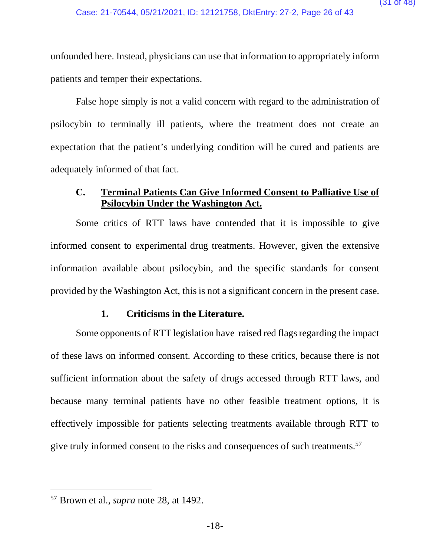unfounded here. Instead, physicians can use that information to appropriately inform patients and temper their expectations.

False hope simply is not a valid concern with regard to the administration of psilocybin to terminally ill patients, where the treatment does not create an expectation that the patient's underlying condition will be cured and patients are adequately informed of that fact.

#### **C. Terminal Patients Can Give Informed Consent to Palliative Use of Psilocybin Under the Washington Act.**

Some critics of RTT laws have contended that it is impossible to give informed consent to experimental drug treatments. However, given the extensive information available about psilocybin, and the specific standards for consent provided by the Washington Act, this is not a significant concern in the present case.

#### **1. Criticisms in the Literature.**

Some opponents of RTT legislation have raised red flags regarding the impact of these laws on informed consent. According to these critics, because there is not sufficient information about the safety of drugs accessed through RTT laws, and because many terminal patients have no other feasible treatment options, it is effectively impossible for patients selecting treatments available through RTT to give truly informed consent to the risks and consequences of such treatments.<sup>57</sup>

<sup>57</sup> Brown et al., *supra* note 28, at 1492.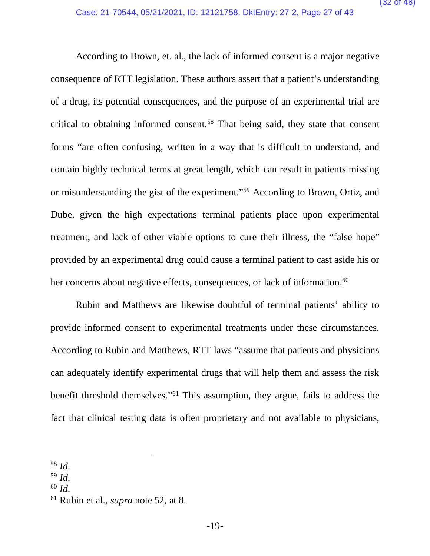According to Brown, et. al., the lack of informed consent is a major negative consequence of RTT legislation. These authors assert that a patient's understanding of a drug, its potential consequences, and the purpose of an experimental trial are critical to obtaining informed consent.58 That being said, they state that consent forms "are often confusing, written in a way that is difficult to understand, and contain highly technical terms at great length, which can result in patients missing or misunderstanding the gist of the experiment."59 According to Brown, Ortiz, and Dube, given the high expectations terminal patients place upon experimental treatment, and lack of other viable options to cure their illness, the "false hope" provided by an experimental drug could cause a terminal patient to cast aside his or her concerns about negative effects, consequences, or lack of information.<sup>60</sup>

Rubin and Matthews are likewise doubtful of terminal patients' ability to provide informed consent to experimental treatments under these circumstances. According to Rubin and Matthews, RTT laws "assume that patients and physicians can adequately identify experimental drugs that will help them and assess the risk benefit threshold themselves."61 This assumption, they argue, fails to address the fact that clinical testing data is often proprietary and not available to physicians,

<sup>58</sup> *Id.*

<sup>59</sup> *Id.* 

<sup>60</sup> *Id.* 

<sup>61</sup> Rubin et al., *supra* note 52, at 8.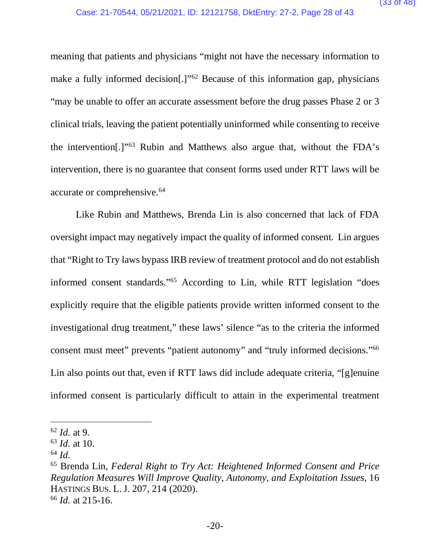meaning that patients and physicians "might not have the necessary information to make a fully informed decision<sup>[1]</sup><sup>62</sup> Because of this information gap, physicians "may be unable to offer an accurate assessment before the drug passes Phase 2 or 3 clinical trials, leaving the patient potentially uninformed while consenting to receive the intervention[.]"63 Rubin and Matthews also argue that, without the FDA's intervention, there is no guarantee that consent forms used under RTT laws will be accurate or comprehensive.64

Like Rubin and Matthews, Brenda Lin is also concerned that lack of FDA oversight impact may negatively impact the quality of informed consent. Lin argues that "Right to Try laws bypass IRB review of treatment protocol and do not establish informed consent standards."65 According to Lin, while RTT legislation "does explicitly require that the eligible patients provide written informed consent to the investigational drug treatment," these laws' silence "as to the criteria the informed consent must meet" prevents "patient autonomy" and "truly informed decisions."66 Lin also points out that, even if RTT laws did include adequate criteria, "[g]enuine informed consent is particularly difficult to attain in the experimental treatment

<sup>62</sup> *Id.* at 9.

<sup>63</sup> *Id.* at 10.

 $64$  *Id.* 

<sup>65</sup> Brenda Lin, *Federal Right to Try Act: Heightened Informed Consent and Price Regulation Measures Will Improve Quality, Autonomy, and Exploitation Issues*, 16 HASTINGS BUS. L.J. 207, 214 (2020).

<sup>66</sup> *Id.* at 215-16.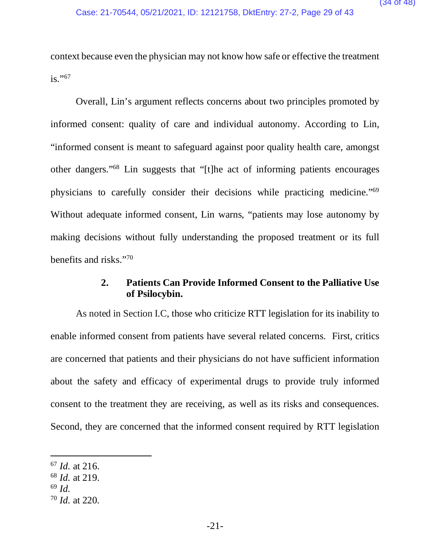context because even the physician may not know how safe or effective the treatment  $is.$ "<sup>67</sup>

Overall, Lin's argument reflects concerns about two principles promoted by informed consent: quality of care and individual autonomy. According to Lin, "informed consent is meant to safeguard against poor quality health care, amongst other dangers."68 Lin suggests that "[t]he act of informing patients encourages physicians to carefully consider their decisions while practicing medicine."69 Without adequate informed consent, Lin warns, "patients may lose autonomy by making decisions without fully understanding the proposed treatment or its full benefits and risks."70

#### **2. Patients Can Provide Informed Consent to the Palliative Use of Psilocybin.**

As noted in Section I.C, those who criticize RTT legislation for its inability to enable informed consent from patients have several related concerns. First, critics are concerned that patients and their physicians do not have sufficient information about the safety and efficacy of experimental drugs to provide truly informed consent to the treatment they are receiving, as well as its risks and consequences. Second, they are concerned that the informed consent required by RTT legislation

<sup>67</sup> *Id.* at 216.

<sup>68</sup> *Id.* at 219.

<sup>69</sup> *Id.* 

<sup>70</sup> *Id.* at 220.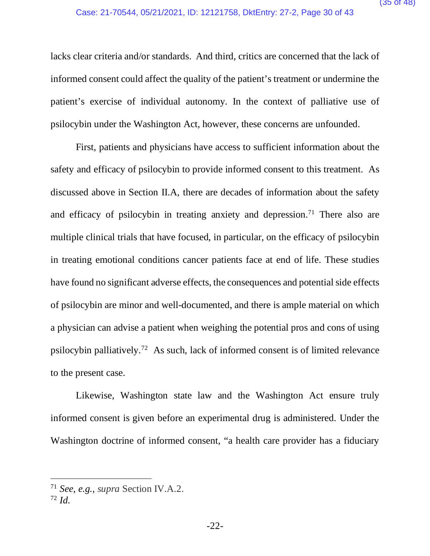lacks clear criteria and/or standards. And third, critics are concerned that the lack of informed consent could affect the quality of the patient's treatment or undermine the patient's exercise of individual autonomy. In the context of palliative use of psilocybin under the Washington Act, however, these concerns are unfounded.

First, patients and physicians have access to sufficient information about the safety and efficacy of psilocybin to provide informed consent to this treatment. As discussed above in Section II.A, there are decades of information about the safety and efficacy of psilocybin in treating anxiety and depression.<sup>71</sup> There also are multiple clinical trials that have focused, in particular, on the efficacy of psilocybin in treating emotional conditions cancer patients face at end of life. These studies have found no significant adverse effects, the consequences and potential side effects of psilocybin are minor and well-documented, and there is ample material on which a physician can advise a patient when weighing the potential pros and cons of using psilocybin palliatively.72 As such, lack of informed consent is of limited relevance to the present case.

Likewise, Washington state law and the Washington Act ensure truly informed consent is given before an experimental drug is administered. Under the Washington doctrine of informed consent, "a health care provider has a fiduciary

<sup>71</sup> *See, e.g., supra* Section IV.A.2.

<sup>72</sup> *Id.*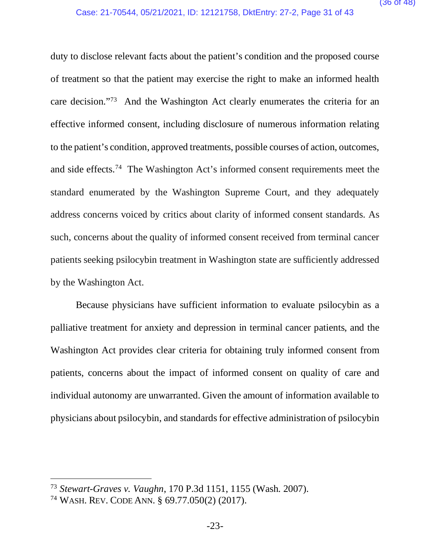duty to disclose relevant facts about the patient's condition and the proposed course of treatment so that the patient may exercise the right to make an informed health care decision."73 And the Washington Act clearly enumerates the criteria for an effective informed consent, including disclosure of numerous information relating to the patient's condition, approved treatments, possible courses of action, outcomes, and side effects.74 The Washington Act's informed consent requirements meet the standard enumerated by the Washington Supreme Court, and they adequately address concerns voiced by critics about clarity of informed consent standards. As such, concerns about the quality of informed consent received from terminal cancer patients seeking psilocybin treatment in Washington state are sufficiently addressed by the Washington Act.

Because physicians have sufficient information to evaluate psilocybin as a palliative treatment for anxiety and depression in terminal cancer patients, and the Washington Act provides clear criteria for obtaining truly informed consent from patients, concerns about the impact of informed consent on quality of care and individual autonomy are unwarranted. Given the amount of information available to physicians about psilocybin, and standards for effective administration of psilocybin

<sup>73</sup> *Stewart-Graves v. Vaughn*, 170 P.3d 1151, 1155 (Wash. 2007).

<sup>74</sup> WASH. REV. CODE ANN. § 69.77.050(2) (2017).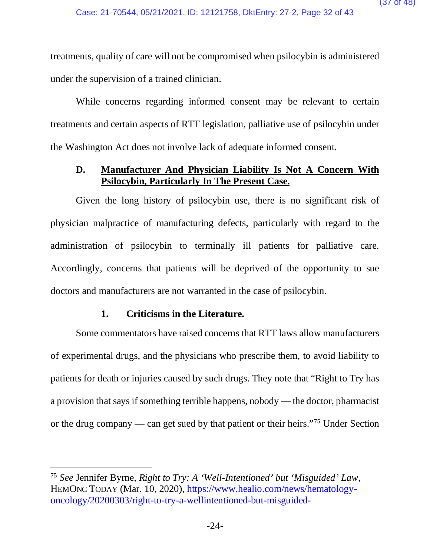treatments, quality of care will not be compromised when psilocybin is administered under the supervision of a trained clinician.

While concerns regarding informed consent may be relevant to certain treatments and certain aspects of RTT legislation, palliative use of psilocybin under the Washington Act does not involve lack of adequate informed consent.

#### **D. Manufacturer And Physician Liability Is Not A Concern With Psilocybin, Particularly In The Present Case.**

Given the long history of psilocybin use, there is no significant risk of physician malpractice of manufacturing defects, particularly with regard to the administration of psilocybin to terminally ill patients for palliative care. Accordingly, concerns that patients will be deprived of the opportunity to sue doctors and manufacturers are not warranted in the case of psilocybin.

#### **1. Criticisms in the Literature.**

Some commentators have raised concerns that RTT laws allow manufacturers of experimental drugs, and the physicians who prescribe them, to avoid liability to patients for death or injuries caused by such drugs. They note that "Right to Try has a provision that says if something terrible happens, nobody — the doctor, pharmacist or the drug company — can get sued by that patient or their heirs."75 Under Section

<sup>75</sup> *See* Jennifer Byrne, *Right to Try: A 'Well-Intentioned' but 'Misguided' Law*, HEMONC TODAY (Mar. 10, 2020), https://www.healio.com/news/hematologyoncology/20200303/right-to-try-a-wellintentioned-but-misguided-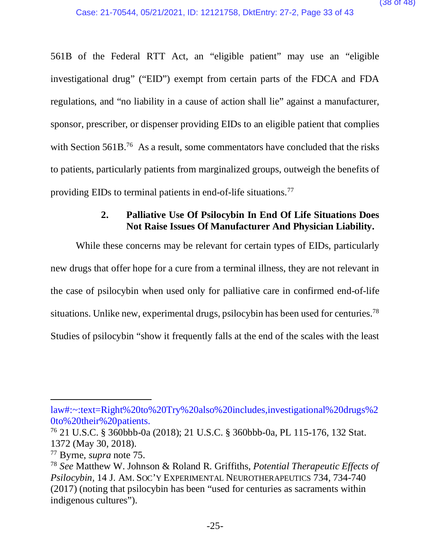561B of the Federal RTT Act, an "eligible patient" may use an "eligible investigational drug" ("EID") exempt from certain parts of the FDCA and FDA regulations, and "no liability in a cause of action shall lie" against a manufacturer, sponsor, prescriber, or dispenser providing EIDs to an eligible patient that complies with Section 561B.<sup>76</sup> As a result, some commentators have concluded that the risks to patients, particularly patients from marginalized groups, outweigh the benefits of providing EIDs to terminal patients in end-of-life situations.77

### **2. Palliative Use Of Psilocybin In End Of Life Situations Does Not Raise Issues Of Manufacturer And Physician Liability.**

While these concerns may be relevant for certain types of EIDs, particularly new drugs that offer hope for a cure from a terminal illness, they are not relevant in the case of psilocybin when used only for palliative care in confirmed end-of-life situations. Unlike new, experimental drugs, psilocybin has been used for centuries.<sup>78</sup> Studies of psilocybin "show it frequently falls at the end of the scales with the least

law#:~:text=Right%20to%20Try%20also%20includes,investigational%20drugs%2 0to%20their%20patients. 76 21 U.S.C. § 360bbb-0a (2018); 21 U.S.C. § 360bbb-0a, PL 115-176, 132 Stat.

<sup>1372 (</sup>May 30, 2018).

<sup>77</sup> Byrne, *supra* note 75.

<sup>78</sup> *See* Matthew W. Johnson & Roland R. Griffiths, *Potential Therapeutic Effects of Psilocybin,* 14 J. AM. SOC'Y EXPERIMENTAL NEUROTHERAPEUTICS 734, 734-740 (2017) (noting that psilocybin has been "used for centuries as sacraments within indigenous cultures").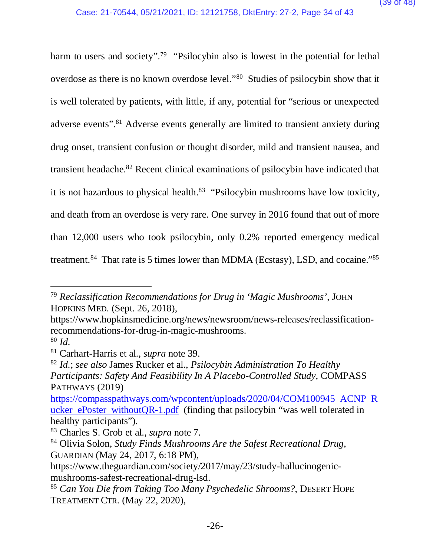harm to users and society".<sup>79</sup> "Psilocybin also is lowest in the potential for lethal overdose as there is no known overdose level."80 Studies of psilocybin show that it is well tolerated by patients, with little, if any, potential for "serious or unexpected adverse events".81 Adverse events generally are limited to transient anxiety during drug onset, transient confusion or thought disorder, mild and transient nausea, and transient headache.82 Recent clinical examinations of psilocybin have indicated that it is not hazardous to physical health. $83$  "Psilocybin mushrooms have low toxicity, and death from an overdose is very rare. One survey in 2016 found that out of more than 12,000 users who took psilocybin, only 0.2% reported emergency medical treatment.<sup>84</sup> That rate is 5 times lower than MDMA (Ecstasy), LSD, and cocaine."<sup>85</sup>

<sup>79</sup> *Reclassification Recommendations for Drug in 'Magic Mushrooms'*, JOHN HOPKINS MED. (Sept. 26, 2018),

https://www.hopkinsmedicine.org/news/newsroom/news-releases/reclassificationrecommendations-for-drug-in-magic-mushrooms.

<sup>80</sup> *Id.* 

<sup>81</sup> Carhart-Harris et al*.*, *supra* note 39.

<sup>82</sup> *Id.*; *see also* James Rucker et al., *Psilocybin Administration To Healthy Participants: Safety And Feasibility In A Placebo-Controlled Study*, COMPASS PATHWAYS (2019)

https://compasspathways.com/wpcontent/uploads/2020/04/COM100945 ACNP R ucker ePoster withoutQR-1.pdf (finding that psilocybin "was well tolerated in healthy participants").

<sup>83</sup> Charles S. Grob et al., *supra* note 7.

<sup>84</sup> Olivia Solon, *Study Finds Mushrooms Are the Safest Recreational Drug*, GUARDIAN (May 24, 2017, 6:18 PM),

https://www.theguardian.com/society/2017/may/23/study-hallucinogenicmushrooms-safest-recreational-drug-lsd.

<sup>85</sup> *Can You Die from Taking Too Many Psychedelic Shrooms?*, DESERT HOPE TREATMENT CTR. (May 22, 2020),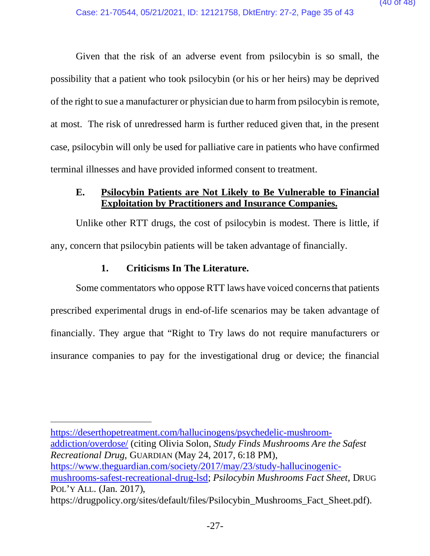Given that the risk of an adverse event from psilocybin is so small, the possibility that a patient who took psilocybin (or his or her heirs) may be deprived of the right to sue a manufacturer or physician due to harm from psilocybin is remote, at most. The risk of unredressed harm is further reduced given that, in the present case, psilocybin will only be used for palliative care in patients who have confirmed terminal illnesses and have provided informed consent to treatment.

#### **E. Psilocybin Patients are Not Likely to Be Vulnerable to Financial Exploitation by Practitioners and Insurance Companies.**

Unlike other RTT drugs, the cost of psilocybin is modest. There is little, if any, concern that psilocybin patients will be taken advantage of financially.

#### **1. Criticisms In The Literature.**

Some commentators who oppose RTT laws have voiced concerns that patients prescribed experimental drugs in end-of-life scenarios may be taken advantage of financially. They argue that "Right to Try laws do not require manufacturers or insurance companies to pay for the investigational drug or device; the financial

https://deserthopetreatment.com/hallucinogens/psychedelic-mushroomaddiction/overdose/ (citing Olivia Solon, *Study Finds Mushrooms Are the Safest Recreational Drug*, GUARDIAN (May 24, 2017, 6:18 PM), https://www.theguardian.com/society/2017/may/23/study-hallucinogenicmushrooms-safest-recreational-drug-lsd; *Psilocybin Mushrooms Fact Sheet*, DRUG POL'Y ALL. (Jan. 2017), https://drugpolicy.org/sites/default/files/Psilocybin\_Mushrooms\_Fact\_Sheet.pdf).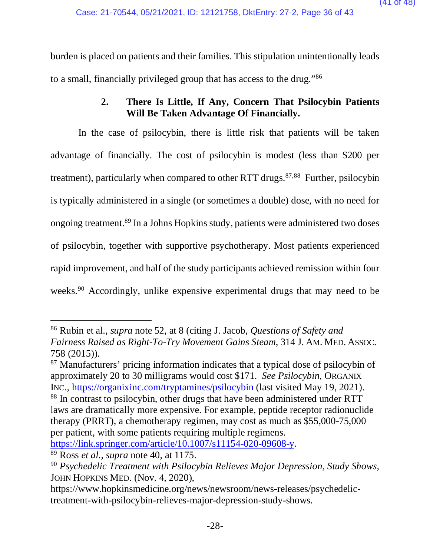burden is placed on patients and their families. This stipulation unintentionally leads to a small, financially privileged group that has access to the drug."86

### **2. There Is Little, If Any, Concern That Psilocybin Patients Will Be Taken Advantage Of Financially.**

 In the case of psilocybin, there is little risk that patients will be taken advantage of financially. The cost of psilocybin is modest (less than \$200 per treatment), particularly when compared to other RTT drugs.<sup>87,88</sup> Further, psilocybin is typically administered in a single (or sometimes a double) dose, with no need for ongoing treatment.89 In a Johns Hopkins study, patients were administered two doses of psilocybin, together with supportive psychotherapy. Most patients experienced rapid improvement, and half of the study participants achieved remission within four weeks.<sup>90</sup> Accordingly, unlike expensive experimental drugs that may need to be

<sup>87</sup> Manufacturers' pricing information indicates that a typical dose of psilocybin of approximately 20 to 30 milligrams would cost \$171. *See Psilocybin*, ORGANIX INC., https://organixinc.com/tryptamines/psilocybin (last visited May 19, 2021). <sup>88</sup> In contrast to psilocybin, other drugs that have been administered under RTT laws are dramatically more expensive. For example, peptide receptor radionuclide

therapy (PRRT), a chemotherapy regimen, may cost as much as \$55,000-75,000 per patient, with some patients requiring multiple regimens.

https://link.springer.com/article/10.1007/s11154-020-09608-y. 89 Ross *et al.*, *supra* note 40, at 1175.

<sup>86</sup> Rubin et al., *supra* note 52, at 8 (citing J. Jacob, *Questions of Safety and Fairness Raised as Right-To-Try Movement Gains Steam*, 314 J. AM. MED. ASSOC. 758 (2015)).

<sup>90</sup> *Psychedelic Treatment with Psilocybin Relieves Major Depression, Study Shows*, JOHN HOPKINS MED. (Nov. 4, 2020),

https://www.hopkinsmedicine.org/news/newsroom/news-releases/psychedelictreatment-with-psilocybin-relieves-major-depression-study-shows.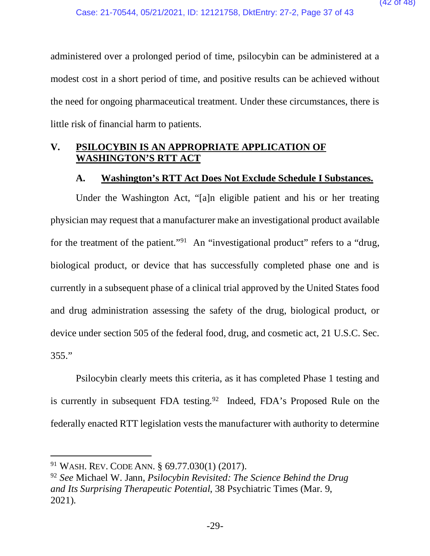administered over a prolonged period of time, psilocybin can be administered at a modest cost in a short period of time, and positive results can be achieved without the need for ongoing pharmaceutical treatment. Under these circumstances, there is little risk of financial harm to patients.

#### **V. PSILOCYBIN IS AN APPROPRIATE APPLICATION OF WASHINGTON'S RTT ACT**

#### **A. Washington's RTT Act Does Not Exclude Schedule I Substances.**

Under the Washington Act, "[a]n eligible patient and his or her treating physician may request that a manufacturer make an investigational product available for the treatment of the patient."<sup>91</sup> An "investigational product" refers to a "drug, biological product, or device that has successfully completed phase one and is currently in a subsequent phase of a clinical trial approved by the United States food and drug administration assessing the safety of the drug, biological product, or device under section 505 of the federal food, drug, and cosmetic act, 21 U.S.C. Sec. 355."

Psilocybin clearly meets this criteria, as it has completed Phase 1 testing and is currently in subsequent FDA testing.<sup>92</sup> Indeed, FDA's Proposed Rule on the federally enacted RTT legislation vests the manufacturer with authority to determine

<sup>91</sup> WASH. REV. CODE ANN. § 69.77.030(1) (2017).

<sup>92</sup> *See* Michael W. Jann, *Psilocybin Revisited: The Science Behind the Drug and Its Surprising Therapeutic Potential*, 38 Psychiatric Times (Mar. 9, 2021).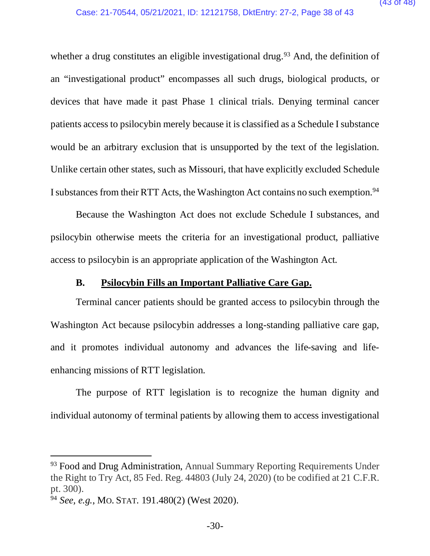whether a drug constitutes an eligible investigational drug.<sup>93</sup> And, the definition of an "investigational product" encompasses all such drugs, biological products, or devices that have made it past Phase 1 clinical trials. Denying terminal cancer patients access to psilocybin merely because it is classified as a Schedule I substance would be an arbitrary exclusion that is unsupported by the text of the legislation. Unlike certain other states, such as Missouri, that have explicitly excluded Schedule I substances from their RTT Acts, the Washington Act contains no such exemption.94

Because the Washington Act does not exclude Schedule I substances, and psilocybin otherwise meets the criteria for an investigational product, palliative access to psilocybin is an appropriate application of the Washington Act.

#### **B. Psilocybin Fills an Important Palliative Care Gap.**

 Terminal cancer patients should be granted access to psilocybin through the Washington Act because psilocybin addresses a long-standing palliative care gap, and it promotes individual autonomy and advances the life-saving and lifeenhancing missions of RTT legislation.

The purpose of RTT legislation is to recognize the human dignity and individual autonomy of terminal patients by allowing them to access investigational

<sup>&</sup>lt;sup>93</sup> Food and Drug Administration, Annual Summary Reporting Requirements Under the Right to Try Act, 85 Fed. Reg. 44803 (July 24, 2020) (to be codified at 21 C.F.R. pt. 300).

<sup>94</sup> *See, e.g.*, MO. STAT. 191.480(2) (West 2020).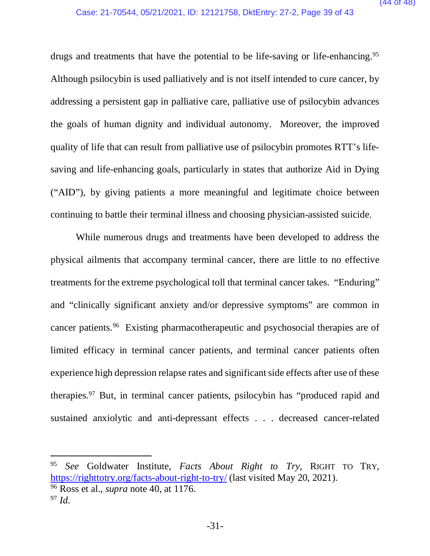drugs and treatments that have the potential to be life-saving or life-enhancing.<sup>95</sup> Although psilocybin is used palliatively and is not itself intended to cure cancer, by addressing a persistent gap in palliative care, palliative use of psilocybin advances the goals of human dignity and individual autonomy. Moreover, the improved quality of life that can result from palliative use of psilocybin promotes RTT's lifesaving and life-enhancing goals, particularly in states that authorize Aid in Dying ("AID"), by giving patients a more meaningful and legitimate choice between continuing to battle their terminal illness and choosing physician-assisted suicide.

While numerous drugs and treatments have been developed to address the physical ailments that accompany terminal cancer, there are little to no effective treatments for the extreme psychological toll that terminal cancer takes. "Enduring" and "clinically significant anxiety and/or depressive symptoms" are common in cancer patients.96 Existing pharmacotherapeutic and psychosocial therapies are of limited efficacy in terminal cancer patients, and terminal cancer patients often experience high depression relapse rates and significant side effects after use of these therapies.<sup>97</sup> But, in terminal cancer patients, psilocybin has "produced rapid and sustained anxiolytic and anti-depressant effects . . . decreased cancer-related

<sup>95</sup> *See* Goldwater Institute, *Facts About Right to Try,* RIGHT TO TRY, https://righttotry.org/facts-about-right-to-try/ (last visited May 20, 2021). <sup>96</sup> Ross et al.*, supra* note 40, at 1176. <sup>97</sup> *Id.*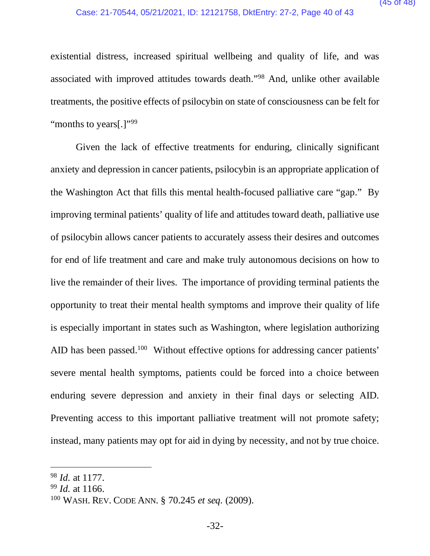existential distress, increased spiritual wellbeing and quality of life, and was associated with improved attitudes towards death."98 And, unlike other available treatments, the positive effects of psilocybin on state of consciousness can be felt for "months to years[.]"<sup>99</sup>

Given the lack of effective treatments for enduring, clinically significant anxiety and depression in cancer patients, psilocybin is an appropriate application of the Washington Act that fills this mental health-focused palliative care "gap." By improving terminal patients' quality of life and attitudes toward death, palliative use of psilocybin allows cancer patients to accurately assess their desires and outcomes for end of life treatment and care and make truly autonomous decisions on how to live the remainder of their lives. The importance of providing terminal patients the opportunity to treat their mental health symptoms and improve their quality of life is especially important in states such as Washington, where legislation authorizing AID has been passed.<sup>100</sup> Without effective options for addressing cancer patients' severe mental health symptoms, patients could be forced into a choice between enduring severe depression and anxiety in their final days or selecting AID. Preventing access to this important palliative treatment will not promote safety; instead, many patients may opt for aid in dying by necessity, and not by true choice.

<sup>98</sup> *Id.* at 1177.

<sup>99</sup> *Id.* at 1166.

<sup>100</sup> WASH. REV. CODE ANN. § 70.245 *et seq.* (2009).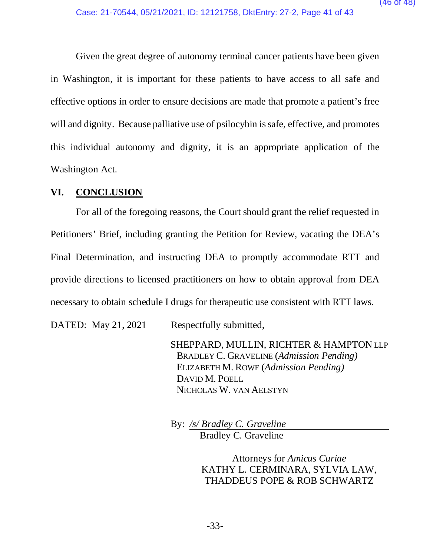Given the great degree of autonomy terminal cancer patients have been given in Washington, it is important for these patients to have access to all safe and effective options in order to ensure decisions are made that promote a patient's free will and dignity. Because palliative use of psilocybin is safe, effective, and promotes this individual autonomy and dignity, it is an appropriate application of the Washington Act.

#### **VI. CONCLUSION**

For all of the foregoing reasons, the Court should grant the relief requested in Petitioners' Brief, including granting the Petition for Review, vacating the DEA's Final Determination, and instructing DEA to promptly accommodate RTT and provide directions to licensed practitioners on how to obtain approval from DEA necessary to obtain schedule I drugs for therapeutic use consistent with RTT laws.

DATED: May 21, 2021 Respectfully submitted,

SHEPPARD, MULLIN, RICHTER & HAMPTON LLP BRADLEY C. GRAVELINE (*Admission Pending)* ELIZABETH M. ROWE (*Admission Pending)* DAVID M. POELL NICHOLAS W. VAN AELSTYN

By: */s/ Bradley C. Graveline* Bradley C. Graveline

> Attorneys for *Amicus Curiae* KATHY L. CERMINARA, SYLVIA LAW, THADDEUS POPE & ROB SCHWARTZ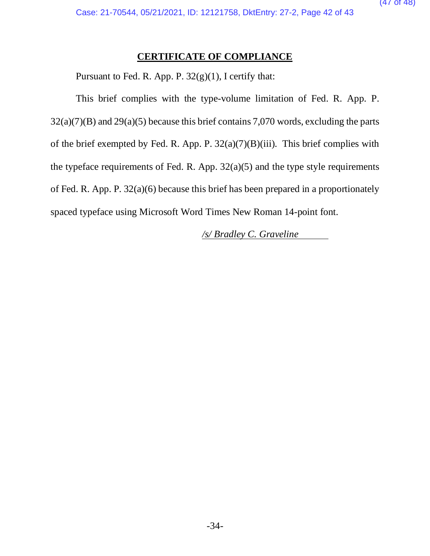#### **CERTIFICATE OF COMPLIANCE**

Pursuant to Fed. R. App. P. 32(g)(1), I certify that:

This brief complies with the type-volume limitation of Fed. R. App. P.  $32(a)(7)(B)$  and  $29(a)(5)$  because this brief contains 7,070 words, excluding the parts of the brief exempted by Fed. R. App. P.  $32(a)(7)(B)(iii)$ . This brief complies with the typeface requirements of Fed. R. App.  $32(a)(5)$  and the type style requirements of Fed. R. App. P. 32(a)(6) because this brief has been prepared in a proportionately spaced typeface using Microsoft Word Times New Roman 14-point font.

*/s/ Bradley C. Graveline*